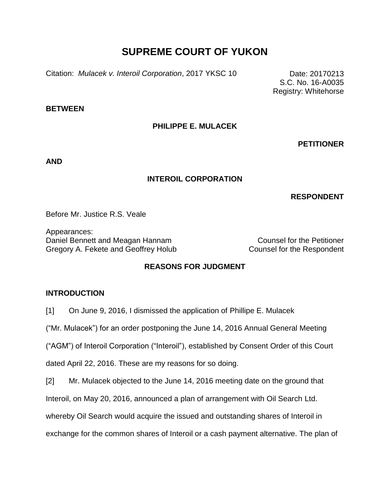# **SUPREME COURT OF YUKON**

Citation: *Mulacek v. Interoil Corporation*, 2017 YKSC 10 Date: 20170213

S.C. No. 16-A0035 Registry: Whitehorse

#### **BETWEEN**

## **PHILIPPE E. MULACEK**

**PETITIONER**

**AND**

## **INTEROIL CORPORATION**

# **RESPONDENT**

Before Mr. Justice R.S. Veale

Appearances: Daniel Bennett and Meagan Hannam Counsel for the Petitioner Gregory A. Fekete and Geoffrey Holub Counsel for the Respondent

# **REASONS FOR JUDGMENT**

## **INTRODUCTION**

[1] On June 9, 2016, I dismissed the application of Phillipe E. Mulacek

("Mr. Mulacek") for an order postponing the June 14, 2016 Annual General Meeting

("AGM") of Interoil Corporation ("Interoil"), established by Consent Order of this Court

dated April 22, 2016. These are my reasons for so doing.

[2] Mr. Mulacek objected to the June 14, 2016 meeting date on the ground that

Interoil, on May 20, 2016, announced a plan of arrangement with Oil Search Ltd.

whereby Oil Search would acquire the issued and outstanding shares of Interoil in

exchange for the common shares of Interoil or a cash payment alternative. The plan of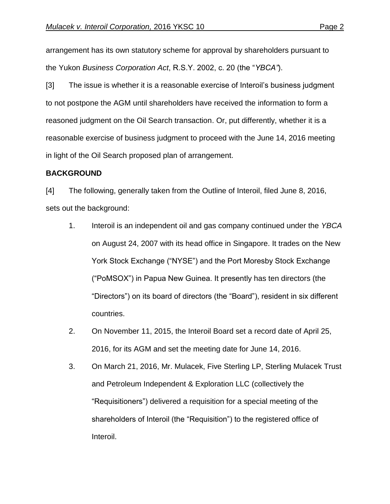arrangement has its own statutory scheme for approval by shareholders pursuant to the Yukon *Business Corporation Act*, R.S.Y. 2002, c. 20 (the "*YBCA"*).

[3] The issue is whether it is a reasonable exercise of Interoil's business judgment to not postpone the AGM until shareholders have received the information to form a reasoned judgment on the Oil Search transaction. Or, put differently, whether it is a reasonable exercise of business judgment to proceed with the June 14, 2016 meeting in light of the Oil Search proposed plan of arrangement.

## **BACKGROUND**

[4] The following, generally taken from the Outline of Interoil, filed June 8, 2016, sets out the background:

- 1. Interoil is an independent oil and gas company continued under the *YBCA* on August 24, 2007 with its head office in Singapore. It trades on the New York Stock Exchange ("NYSE") and the Port Moresby Stock Exchange ("PoMSOX") in Papua New Guinea. It presently has ten directors (the "Directors") on its board of directors (the "Board"), resident in six different countries.
- 2. On November 11, 2015, the Interoil Board set a record date of April 25, 2016, for its AGM and set the meeting date for June 14, 2016.
- 3. On March 21, 2016, Mr. Mulacek, Five Sterling LP, Sterling Mulacek Trust and Petroleum Independent & Exploration LLC (collectively the "Requisitioners") delivered a requisition for a special meeting of the shareholders of Interoil (the "Requisition") to the registered office of Interoil.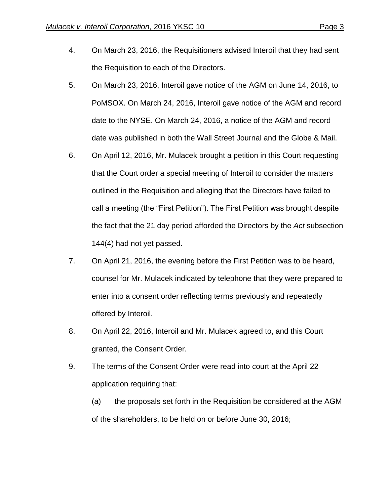- 4. On March 23, 2016, the Requisitioners advised Interoil that they had sent the Requisition to each of the Directors.
- 5. On March 23, 2016, Interoil gave notice of the AGM on June 14, 2016, to PoMSOX. On March 24, 2016, Interoil gave notice of the AGM and record date to the NYSE. On March 24, 2016, a notice of the AGM and record date was published in both the Wall Street Journal and the Globe & Mail.
- 6. On April 12, 2016, Mr. Mulacek brought a petition in this Court requesting that the Court order a special meeting of Interoil to consider the matters outlined in the Requisition and alleging that the Directors have failed to call a meeting (the "First Petition"). The First Petition was brought despite the fact that the 21 day period afforded the Directors by the *Act* subsection 144(4) had not yet passed.
- 7. On April 21, 2016, the evening before the First Petition was to be heard, counsel for Mr. Mulacek indicated by telephone that they were prepared to enter into a consent order reflecting terms previously and repeatedly offered by Interoil.
- 8. On April 22, 2016, Interoil and Mr. Mulacek agreed to, and this Court granted, the Consent Order.
- 9. The terms of the Consent Order were read into court at the April 22 application requiring that:
	- (a) the proposals set forth in the Requisition be considered at the AGM of the shareholders, to be held on or before June 30, 2016;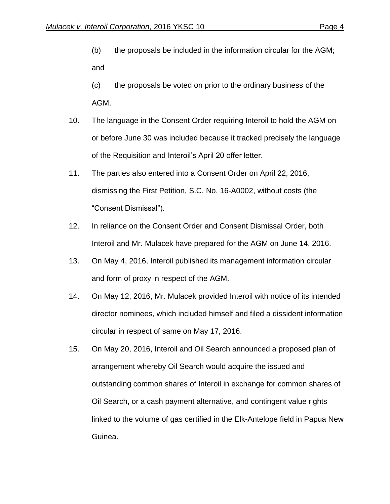- (b) the proposals be included in the information circular for the AGM; and
- (c) the proposals be voted on prior to the ordinary business of the AGM.
- 10. The language in the Consent Order requiring Interoil to hold the AGM on or before June 30 was included because it tracked precisely the language of the Requisition and Interoil's April 20 offer letter.
- 11. The parties also entered into a Consent Order on April 22, 2016, dismissing the First Petition, S.C. No. 16-A0002, without costs (the "Consent Dismissal").
- 12. In reliance on the Consent Order and Consent Dismissal Order, both Interoil and Mr. Mulacek have prepared for the AGM on June 14, 2016.
- 13. On May 4, 2016, Interoil published its management information circular and form of proxy in respect of the AGM.
- 14. On May 12, 2016, Mr. Mulacek provided Interoil with notice of its intended director nominees, which included himself and filed a dissident information circular in respect of same on May 17, 2016.
- 15. On May 20, 2016, Interoil and Oil Search announced a proposed plan of arrangement whereby Oil Search would acquire the issued and outstanding common shares of Interoil in exchange for common shares of Oil Search, or a cash payment alternative, and contingent value rights linked to the volume of gas certified in the Elk-Antelope field in Papua New Guinea.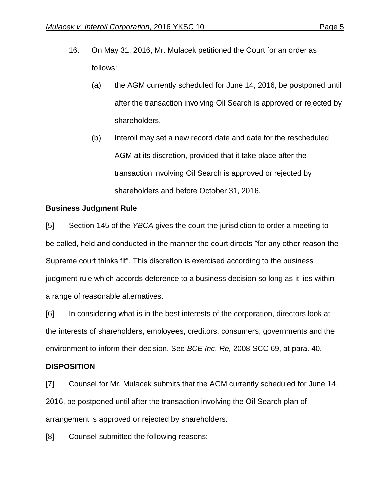- 16. On May 31, 2016, Mr. Mulacek petitioned the Court for an order as follows:
	- (a) the AGM currently scheduled for June 14, 2016, be postponed until after the transaction involving Oil Search is approved or rejected by shareholders.
	- (b) Interoil may set a new record date and date for the rescheduled AGM at its discretion, provided that it take place after the transaction involving Oil Search is approved or rejected by shareholders and before October 31, 2016.

## **Business Judgment Rule**

[5] Section 145 of the *YBCA* gives the court the jurisdiction to order a meeting to be called, held and conducted in the manner the court directs "for any other reason the Supreme court thinks fit". This discretion is exercised according to the business judgment rule which accords deference to a business decision so long as it lies within a range of reasonable alternatives.

[6] In considering what is in the best interests of the corporation, directors look at the interests of shareholders, employees, creditors, consumers, governments and the environment to inform their decision. See *BCE Inc. Re,* 2008 SCC 69, at para. 40.

## **DISPOSITION**

[7] Counsel for Mr. Mulacek submits that the AGM currently scheduled for June 14, 2016, be postponed until after the transaction involving the Oil Search plan of arrangement is approved or rejected by shareholders.

[8] Counsel submitted the following reasons: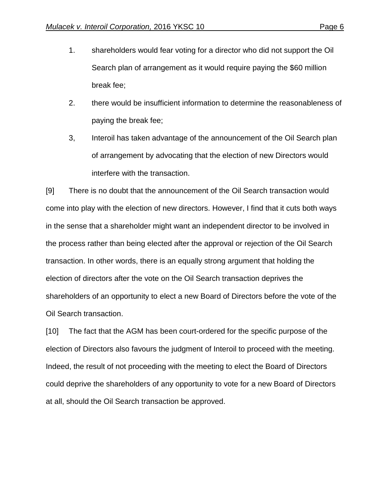- 1. shareholders would fear voting for a director who did not support the Oil Search plan of arrangement as it would require paying the \$60 million break fee;
- 2. there would be insufficient information to determine the reasonableness of paying the break fee;
- 3, Interoil has taken advantage of the announcement of the Oil Search plan of arrangement by advocating that the election of new Directors would interfere with the transaction.

[9] There is no doubt that the announcement of the Oil Search transaction would come into play with the election of new directors. However, I find that it cuts both ways in the sense that a shareholder might want an independent director to be involved in the process rather than being elected after the approval or rejection of the Oil Search transaction. In other words, there is an equally strong argument that holding the election of directors after the vote on the Oil Search transaction deprives the shareholders of an opportunity to elect a new Board of Directors before the vote of the Oil Search transaction.

[10] The fact that the AGM has been court-ordered for the specific purpose of the election of Directors also favours the judgment of Interoil to proceed with the meeting. Indeed, the result of not proceeding with the meeting to elect the Board of Directors could deprive the shareholders of any opportunity to vote for a new Board of Directors at all, should the Oil Search transaction be approved.